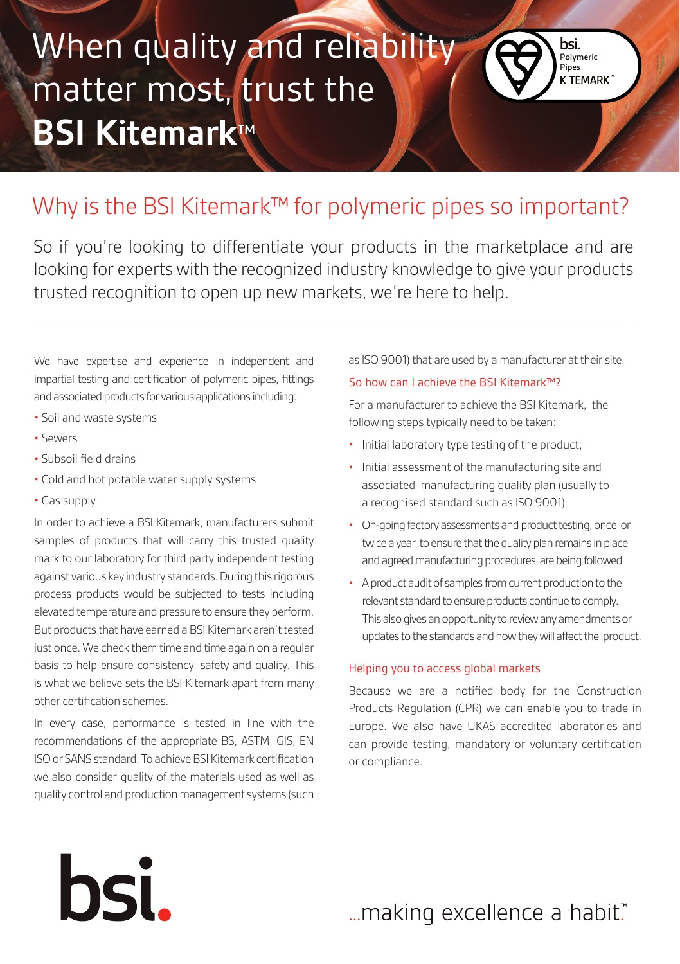# When quality and reliability matter most, trust the **BSI Kitemark**™



So if you're looking to differentiate your products in the marketplace and are looking for experts with the recognized industry knowledge to give your products trusted recognition to open up new markets, we're here to help.

We have expertise and experience in independent and impartial testing and certification of polymeric pipes, fittings and associated products for various applications including:

- Soil and waste systems
- Sewers
- Subsoil field drains
- Cold and hot potable water supply systems
- Gas supply

In order to achieve a BSI Kitemark, manufacturers submit samples of products that will carry this trusted quality mark to our laboratory for third party independent testing against various key industry standards. During this rigorous process products would be subjected to tests including elevated temperature and pressure to ensure they perform. But products that have earned a BSI Kitemark aren't tested just once. We check them time and time again on a regular basis to help ensure consistency, safety and quality. This is what we believe sets the BSI Kitemark apart from many other certification schemes.

In every case, performance is tested in line with the recommendations of the appropriate BS, ASTM, GIS, EN ISO or SANS standard. To achieve BSI Kitemark certification we also consider quality of the materials used as well as quality control and production management systems (such

hsi.

as ISO 9001) that are used by a manufacturer at their site.

Polymeric Pipes<br>KITEMARK<sup>\*</sup>

bsi.

#### So how can I achieve the BSI Kitemark™?

For a manufacturer to achieve the BSI Kitemark, the following steps typically need to be taken:

- Initial laboratory type testing of the product;
- Initial assessment of the manufacturing site and associated manufacturing quality plan (usually to a recognised standard such as ISO 9001)
- On-going factory assessments and product testing, once or twice a year, to ensure that the quality plan remains in place and agreed manufacturing procedures are being followed
- A product audit of samples from current production to the relevant standard to ensure products continue to comply. This also gives an opportunity to review any amendments or updates to the standards and how they will affect the product.

### Helping you to access global markets

Because we are a notified body for the Construction Products Regulation (CPR) we can enable you to trade in Europe. We also have UKAS accredited laboratories and can provide testing, mandatory or voluntary certification or compliance.

... making excellence a habit."